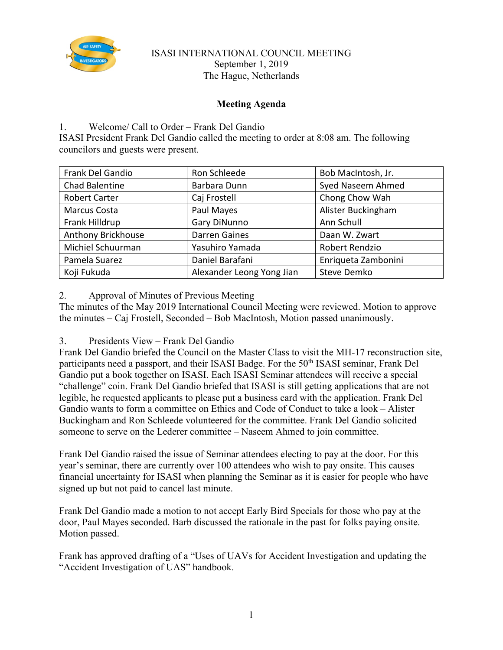

## ISASI INTERNATIONAL COUNCIL MEETING September 1, 2019 The Hague, Netherlands

# **Meeting Agenda**

# 1. Welcome/ Call to Order – Frank Del Gandio

ISASI President Frank Del Gandio called the meeting to order at 8:08 am. The following councilors and guests were present.

| Frank Del Gandio     | Ron Schleede              |                     |
|----------------------|---------------------------|---------------------|
|                      |                           | Bob MacIntosh, Jr.  |
| Chad Balentine       | Barbara Dunn              | Syed Naseem Ahmed   |
| <b>Robert Carter</b> | Caj Frostell              | Chong Chow Wah      |
| Marcus Costa         | Paul Mayes                | Alister Buckingham  |
| Frank Hilldrup       | Gary DiNunno              | Ann Schull          |
| Anthony Brickhouse   | <b>Darren Gaines</b>      | Daan W. Zwart       |
| Michiel Schuurman    | Yasuhiro Yamada           | Robert Rendzio      |
| Pamela Suarez        | Daniel Barafani           | Enriqueta Zambonini |
| Koji Fukuda          | Alexander Leong Yong Jian | <b>Steve Demko</b>  |

2. Approval of Minutes of Previous Meeting

The minutes of the May 2019 International Council Meeting were reviewed. Motion to approve the minutes – Caj Frostell, Seconded – Bob MacIntosh, Motion passed unanimously.

3. Presidents View – Frank Del Gandio

Frank Del Gandio briefed the Council on the Master Class to visit the MH-17 reconstruction site, participants need a passport, and their ISASI Badge. For the 50<sup>th</sup> ISASI seminar, Frank Del Gandio put a book together on ISASI. Each ISASI Seminar attendees will receive a special "challenge" coin. Frank Del Gandio briefed that ISASI is still getting applications that are not legible, he requested applicants to please put a business card with the application. Frank Del Gandio wants to form a committee on Ethics and Code of Conduct to take a look – Alister Buckingham and Ron Schleede volunteered for the committee. Frank Del Gandio solicited someone to serve on the Lederer committee – Naseem Ahmed to join committee.

Frank Del Gandio raised the issue of Seminar attendees electing to pay at the door. For this year's seminar, there are currently over 100 attendees who wish to pay onsite. This causes financial uncertainty for ISASI when planning the Seminar as it is easier for people who have signed up but not paid to cancel last minute.

Frank Del Gandio made a motion to not accept Early Bird Specials for those who pay at the door, Paul Mayes seconded. Barb discussed the rationale in the past for folks paying onsite. Motion passed.

Frank has approved drafting of a "Uses of UAVs for Accident Investigation and updating the "Accident Investigation of UAS" handbook.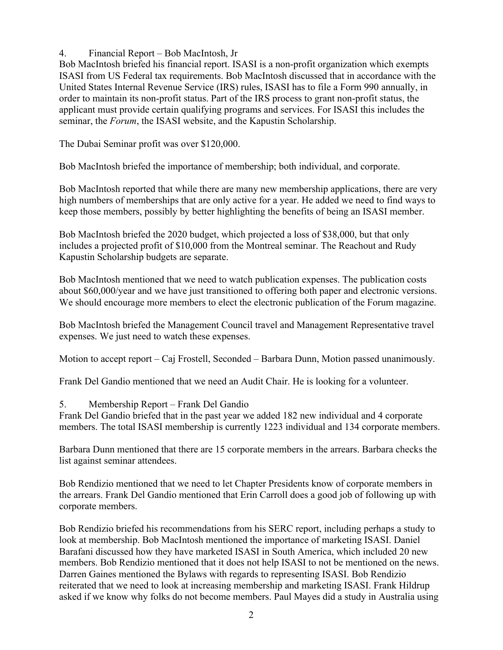4. Financial Report – Bob MacIntosh, Jr

Bob MacIntosh briefed his financial report. ISASI is a non-profit organization which exempts ISASI from US Federal tax requirements. Bob MacIntosh discussed that in accordance with the United States Internal Revenue Service (IRS) rules, ISASI has to file a Form 990 annually, in order to maintain its non-profit status. Part of the IRS process to grant non-profit status, the applicant must provide certain qualifying programs and services. For ISASI this includes the seminar, the *Forum*, the ISASI website, and the Kapustin Scholarship.

The Dubai Seminar profit was over \$120,000.

Bob MacIntosh briefed the importance of membership; both individual, and corporate.

Bob MacIntosh reported that while there are many new membership applications, there are very high numbers of memberships that are only active for a year. He added we need to find ways to keep those members, possibly by better highlighting the benefits of being an ISASI member.

Bob MacIntosh briefed the 2020 budget, which projected a loss of \$38,000, but that only includes a projected profit of \$10,000 from the Montreal seminar. The Reachout and Rudy Kapustin Scholarship budgets are separate.

Bob MacIntosh mentioned that we need to watch publication expenses. The publication costs about \$60,000/year and we have just transitioned to offering both paper and electronic versions. We should encourage more members to elect the electronic publication of the Forum magazine.

Bob MacIntosh briefed the Management Council travel and Management Representative travel expenses. We just need to watch these expenses.

Motion to accept report – Caj Frostell, Seconded – Barbara Dunn, Motion passed unanimously.

Frank Del Gandio mentioned that we need an Audit Chair. He is looking for a volunteer.

# 5. Membership Report – Frank Del Gandio

Frank Del Gandio briefed that in the past year we added 182 new individual and 4 corporate members. The total ISASI membership is currently 1223 individual and 134 corporate members.

Barbara Dunn mentioned that there are 15 corporate members in the arrears. Barbara checks the list against seminar attendees.

Bob Rendizio mentioned that we need to let Chapter Presidents know of corporate members in the arrears. Frank Del Gandio mentioned that Erin Carroll does a good job of following up with corporate members.

Bob Rendizio briefed his recommendations from his SERC report, including perhaps a study to look at membership. Bob MacIntosh mentioned the importance of marketing ISASI. Daniel Barafani discussed how they have marketed ISASI in South America, which included 20 new members. Bob Rendizio mentioned that it does not help ISASI to not be mentioned on the news. Darren Gaines mentioned the Bylaws with regards to representing ISASI. Bob Rendizio reiterated that we need to look at increasing membership and marketing ISASI. Frank Hildrup asked if we know why folks do not become members. Paul Mayes did a study in Australia using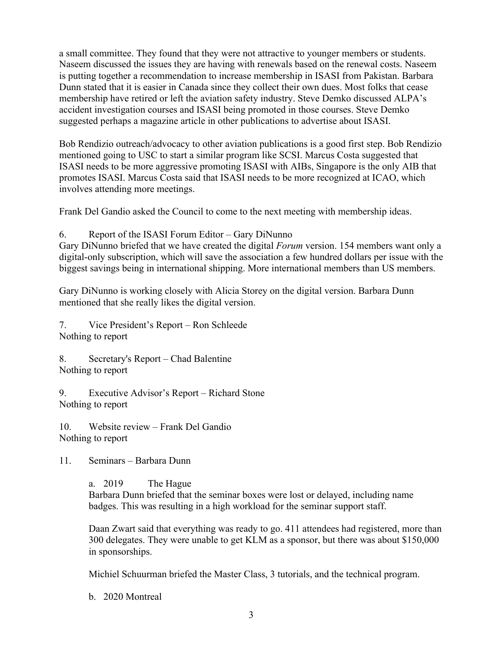a small committee. They found that they were not attractive to younger members or students. Naseem discussed the issues they are having with renewals based on the renewal costs. Naseem is putting together a recommendation to increase membership in ISASI from Pakistan. Barbara Dunn stated that it is easier in Canada since they collect their own dues. Most folks that cease membership have retired or left the aviation safety industry. Steve Demko discussed ALPA's accident investigation courses and ISASI being promoted in those courses. Steve Demko suggested perhaps a magazine article in other publications to advertise about ISASI.

Bob Rendizio outreach/advocacy to other aviation publications is a good first step. Bob Rendizio mentioned going to USC to start a similar program like SCSI. Marcus Costa suggested that ISASI needs to be more aggressive promoting ISASI with AIBs, Singapore is the only AIB that promotes ISASI. Marcus Costa said that ISASI needs to be more recognized at ICAO, which involves attending more meetings.

Frank Del Gandio asked the Council to come to the next meeting with membership ideas.

6. Report of the ISASI Forum Editor – Gary DiNunno

Gary DiNunno briefed that we have created the digital *Forum* version. 154 members want only a digital-only subscription, which will save the association a few hundred dollars per issue with the biggest savings being in international shipping. More international members than US members.

Gary DiNunno is working closely with Alicia Storey on the digital version. Barbara Dunn mentioned that she really likes the digital version.

7. Vice President's Report – Ron Schleede Nothing to report

8. Secretary's Report – Chad Balentine Nothing to report

9. Executive Advisor's Report – Richard Stone Nothing to report

10. Website review – Frank Del Gandio Nothing to report

11. Seminars – Barbara Dunn

a. 2019 The Hague

Barbara Dunn briefed that the seminar boxes were lost or delayed, including name badges. This was resulting in a high workload for the seminar support staff.

Daan Zwart said that everything was ready to go. 411 attendees had registered, more than 300 delegates. They were unable to get KLM as a sponsor, but there was about \$150,000 in sponsorships.

Michiel Schuurman briefed the Master Class, 3 tutorials, and the technical program.

b. 2020 Montreal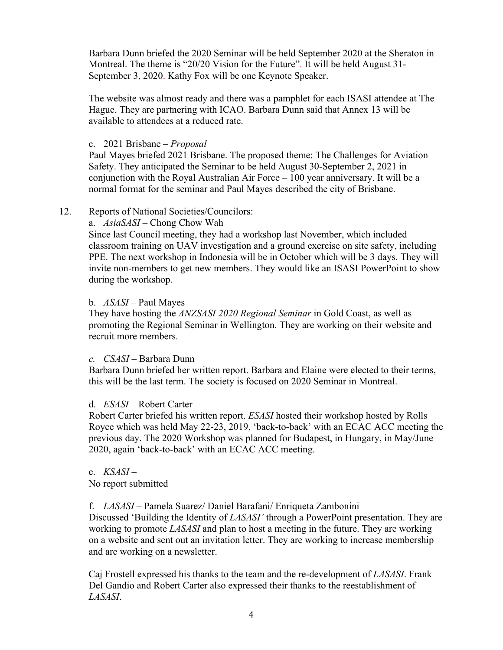Barbara Dunn briefed the 2020 Seminar will be held September 2020 at the Sheraton in Montreal. The theme is "20/20 Vision for the Future". It will be held August 31- September 3, 2020. Kathy Fox will be one Keynote Speaker.

The website was almost ready and there was a pamphlet for each ISASI attendee at The Hague. They are partnering with ICAO. Barbara Dunn said that Annex 13 will be available to attendees at a reduced rate.

#### c. 2021 Brisbane – *Proposal*

Paul Mayes briefed 2021 Brisbane. The proposed theme: The Challenges for Aviation Safety. They anticipated the Seminar to be held August 30-September 2, 2021 in conjunction with the Royal Australian Air Force – 100 year anniversary. It will be a normal format for the seminar and Paul Mayes described the city of Brisbane.

#### 12. Reports of National Societies/Councilors:

a. *AsiaSASI –* Chong Chow Wah

Since last Council meeting, they had a workshop last November, which included classroom training on UAV investigation and a ground exercise on site safety, including PPE. The next workshop in Indonesia will be in October which will be 3 days. They will invite non-members to get new members. They would like an ISASI PowerPoint to show during the workshop.

## b. *ASASI –* Paul Mayes

They have hosting the *ANZSASI 2020 Regional Seminar* in Gold Coast, as well as promoting the Regional Seminar in Wellington. They are working on their website and recruit more members.

#### *c. CSASI –* Barbara Dunn

Barbara Dunn briefed her written report. Barbara and Elaine were elected to their terms, this will be the last term. The society is focused on 2020 Seminar in Montreal.

#### d. *ESASI –* Robert Carter

Robert Carter briefed his written report. *ESASI* hosted their workshop hosted by Rolls Royce which was held May 22-23, 2019, 'back-to-back' with an ECAC ACC meeting the previous day. The 2020 Workshop was planned for Budapest, in Hungary, in May/June 2020, again 'back-to-back' with an ECAC ACC meeting.

# e. *KSASI* –

No report submitted

# f. *LASASI* – Pamela Suarez/ Daniel Barafani/ Enriqueta Zambonini

Discussed 'Building the Identity of *LASASI'* through a PowerPoint presentation. They are working to promote *LASASI* and plan to host a meeting in the future. They are working on a website and sent out an invitation letter. They are working to increase membership and are working on a newsletter.

Caj Frostell expressed his thanks to the team and the re-development of *LASASI*. Frank Del Gandio and Robert Carter also expressed their thanks to the reestablishment of *LASASI*.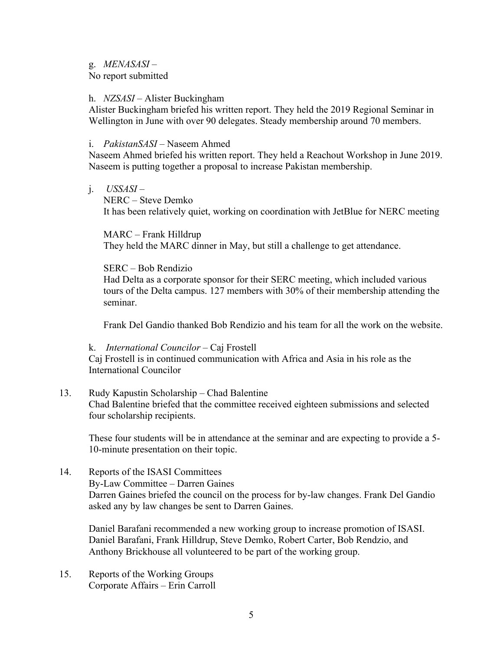#### g. *MENASASI –*

No report submitted

#### h. *NZSASI* – Alister Buckingham

Alister Buckingham briefed his written report. They held the 2019 Regional Seminar in Wellington in June with over 90 delegates. Steady membership around 70 members.

#### i. *PakistanSASI* – Naseem Ahmed

Naseem Ahmed briefed his written report. They held a Reachout Workshop in June 2019. Naseem is putting together a proposal to increase Pakistan membership.

j. *USSASI* –

NERC – Steve Demko It has been relatively quiet, working on coordination with JetBlue for NERC meeting

MARC – Frank Hilldrup They held the MARC dinner in May, but still a challenge to get attendance.

#### SERC – Bob Rendizio

Had Delta as a corporate sponsor for their SERC meeting, which included various tours of the Delta campus. 127 members with 30% of their membership attending the seminar.

Frank Del Gandio thanked Bob Rendizio and his team for all the work on the website.

k. *International Councilor –* Caj Frostell

Caj Frostell is in continued communication with Africa and Asia in his role as the International Councilor

## 13. Rudy Kapustin Scholarship – Chad Balentine Chad Balentine briefed that the committee received eighteen submissions and selected four scholarship recipients.

These four students will be in attendance at the seminar and are expecting to provide a 5- 10-minute presentation on their topic.

14. Reports of the ISASI Committees By-Law Committee – Darren Gaines Darren Gaines briefed the council on the process for by-law changes. Frank Del Gandio asked any by law changes be sent to Darren Gaines.

Daniel Barafani recommended a new working group to increase promotion of ISASI. Daniel Barafani, Frank Hilldrup, Steve Demko, Robert Carter, Bob Rendzio, and Anthony Brickhouse all volunteered to be part of the working group.

15. Reports of the Working Groups Corporate Affairs – Erin Carroll